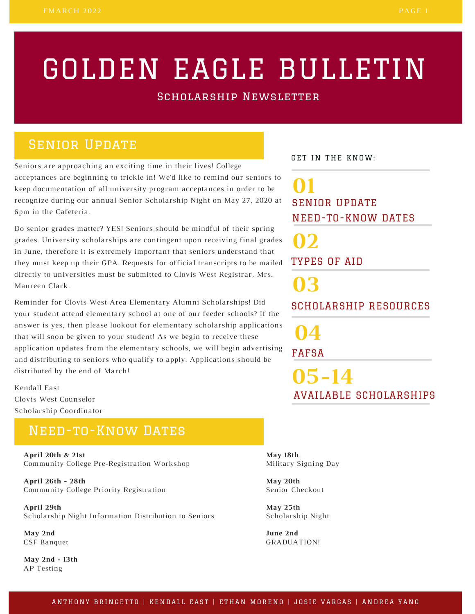# GOLDEN EAGLE BULLETIN

Scholarship Newsletter

## **SENIOR UPDATE**

Seniors are approaching an exciting time in their lives! College acceptances are beginning to trickle in! We'd like to remind our seniors to keep documentation of all university program acceptances in order to be recognize during our annual Senior Scholarship Night on May 27, 2020 at 6pm in the Cafeteria.

Do senior grades matter? YES! Seniors should be mindful of their spring grades. University scholarships are contingent upon receiving final grades in June, therefore it is extremely important that seniors understand that they must keep up their GPA. Requests for official transcripts to be mailed directly to universities must be submitted to Clovis West Registrar, Mrs. Maureen Clark.

Reminder for Clovis West Area Elementary Alumni Scholarships! Did your student attend elementary school at one of our feeder schools? If the answer is yes, then please lookout for elementary scholarship applications that will soon be given to your student! As we begin to receive these application updates from the elementary schools, we will begin advertising and distributing to seniors who qualify to apply. Applications should be distributed by the end of March!

Kendall East Clovis West Counselor Scholarship Coordinator

### Need-to-Know Dates

**April 20th & 21st** Community College Pre-Registration Workshop

**April 26th - 28th** Community College Priority Registration

**April 29th** Scholarship Night Information Distribution to Seniors

**May 2nd** CSF Banquet

**May 2nd - 13th** AP Testing

GET IN THE KNOW:

SENIOR UPDATE NEED-TO-KNOW DATES **01**

TYPES OF AID **02**

SCHOLARSHIP RESOURCES **03**

**04**

FAFSA

**05-14** AVAILABLE SCHOLARSHIPS

**May 18th** Military Signing Day

**May 20th** Senior Checkout

**May 25th** Scholarship Night

**June 2nd** GRADUATION!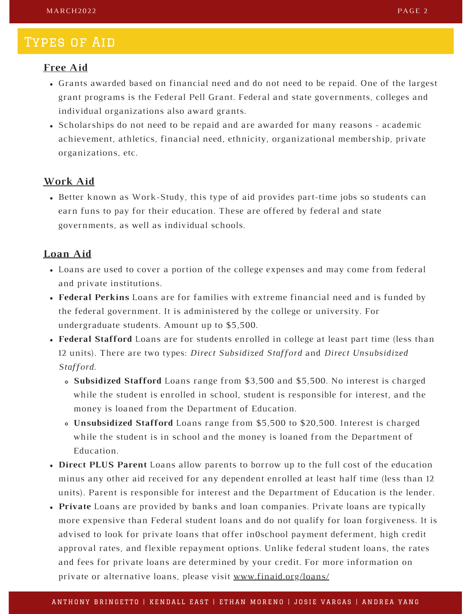#### Types of Aid

#### **Free Aid**

- Grants awarded based on financial need and do not need to be repaid. One of the largest grant programs is the Federal Pell Grant. Federal and state governments, colleges and individual organizations also award grants.
- Scholarships do not need to be repaid and are awarded for many reasons academic achievement, athletics, financial need, ethnicity, organizational membership, private organizations, etc.

#### **Work Aid**

Better known as Work-Study, this type of aid provides part-time jobs so students can earn funs to pay for their education. These are offered by federal and state governments, as well as individual schools.

#### **Loan Aid**

- Loans are used to cover a portion of the college expenses and may come from federal and private institutions.
- **Federal Perkins** Loans are for families with extreme financial need and is funded by the federal government. It is administered by the college or university. For undergraduate students. Amount up to \$5,500.
- **Federal Stafford** Loans are for students enrolled in college at least part time (less than 12 units). There are two types: *Direct Subsidized Stafford* and *Direct Unsubsidized Stafford*.
	- **Subsidized Stafford** Loans range from \$3,500 and \$5,500. No interest is charged while the student is enrolled in school, student is responsible for interest, and the money is loaned from the Department of Education.
	- **Unsubsidized Stafford** Loans range from \$5,500 to \$20,500. Interest is charged while the student is in school and the money is loaned from the Department of Education.
- **Direct PLUS Parent** Loans allow parents to borrow up to the full cost of the education minus any other aid received for any dependent enrolled at least half time (less than 12 units). Parent is responsible for interest and the Department of Education is the lender.
- **Private** Loans are provided by banks and loan companies. Private loans are typically more expensive than Federal student loans and do not qualify for loan forgiveness. It is advised to look for private loans that offer in0school payment deferment, high credit approval rates, and flexible repayment options. Unlike federal student loans, the rates and fees for private loans are determined by your credit. For more information on private or alternative loans, please visit [www.finaid.org/loans/](https://finaid.org/loans/)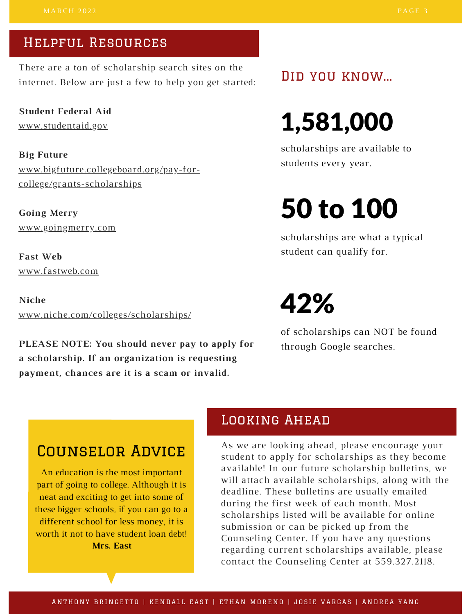### Helpful Resources

There are a ton of scholarship search sites on the internet. Below are just a few to help you get started:

**Student Federal Aid** [www.studentaid.gov](https://studentaid.gov/)

**Big Future** [www.bigfuture.collegeboard.org/pay-for](https://bigfuture.collegeboard.org/pay-for-college/grants-scholarships)college/grants-scholarships

**Going Merry** [www.goingmerry.com](https://www.goingmerry.com/)

**Fast Web** [www.fastweb.com](https://www.fastweb.com/)

**Niche** [www.niche.com/colleges/scholarships/](https://www.niche.com/colleges/scholarships/)

**PLEASE NOTE: You should never pay to apply for a scholarship. If an organization is requesting payment, chances are it is a scam or invalid.**

Did you know...

# 1,581,000

scholarships are available to students every year.

# 50 to 100

scholarships are what a typical student can qualify for.

## 42%

of scholarships can NOT be found through Google searches.

## Counselor Advice

An education is the most important part of going to college. Although it is neat and exciting to get into some of these bigger schools, if you can go to a different school for less money, it is worth it not to have student loan debt! **Mrs. East**

### Looking Ahead

As we are looking ahead, please encourage your student to apply for scholarships as they become available! In our future scholarship bulletins, we will attach available scholarships, along with the deadline. These bulletins are usually emailed during the first week of each month. Most scholarships listed will be available for online submission or can be picked up from the Counseling Center. If you have any questions regarding current scholarships available, please contact the Counseling Center at 559.327.2118.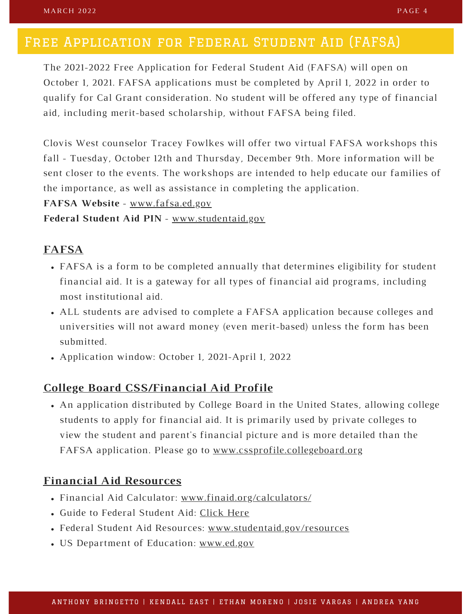### Free Application for Federal Student Aid (FAFSA)

The 2021-2022 Free Application for Federal Student Aid (FAFSA) will open on October 1, 2021. FAFSA applications must be completed by April 1, 2022 in order to qualify for Cal Grant consideration. No student will be offered any type of financial aid, including merit-based scholarship, without FAFSA being filed.

Clovis West counselor Tracey Fowlkes will offer two virtual FAFSA workshops this fall - Tuesday, October 12th and Thursday, December 9th. More information will be sent closer to the events. The workshops are intended to help educate our families of the importance, as well as assistance in completing the application.

**FAFSA Website** - [www.fafsa.ed.gov](https://fafsa.ed.gov/spa/fafsa/#/LOGIN?locale=en_US)

**Federal Student Aid PIN** - [www.studentaid.gov](https://studentaid.gov/fsa-id/sign-in/landing)

#### **FAFSA**

- FAFSA is a form to be completed annually that determines eligibility for student financial aid. It is a gateway for all types of financial aid programs, including most institutional aid.
- ALL students are advised to complete a FAFSA application because colleges and universities will not award money (even merit-based) unless the form has been submitted.
- Application window: October 1, 2021-April 1, 2022

#### **College Board CSS/Financial Aid Profile**

An application distributed by College Board in the United States, allowing college students to apply for financial aid. It is primarily used by private colleges to view the student and parent's financial picture and is more detailed than the FAFSA application. Please go to [www.cssprofile.collegeboard.org](https://cssprofile.collegeboard.org/)

#### **Financial Aid Resources**

- Financial Aid Calculator: [www.finaid.org/calculators/](https://finaid.org/calculators/)
- Guide to Federal Student Aid: [Click](https://studentaid.gov/sites/default/files/funding-your-education.pdf) Here
- Federal Student Aid Resources: [www.studentaid.gov/resources](https://studentaid.gov/resources)
- US Department of Education: [www.ed.gov](https://www.ed.gov/)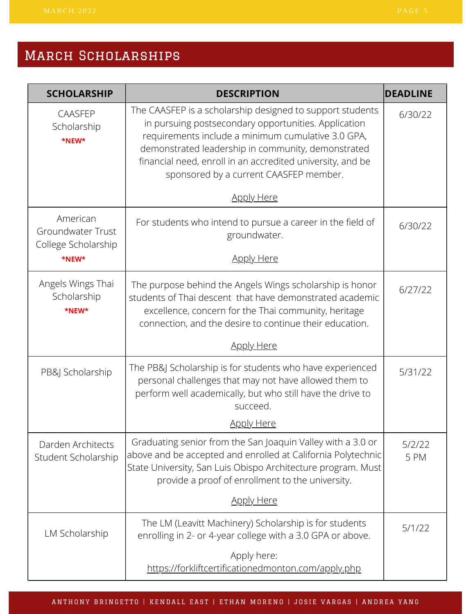| <b>SCHOLARSHIP</b>                                   | <b>DESCRIPTION</b>                                                                                                                                                                                                                                                                                                                    | <b>DEADLINE</b> |
|------------------------------------------------------|---------------------------------------------------------------------------------------------------------------------------------------------------------------------------------------------------------------------------------------------------------------------------------------------------------------------------------------|-----------------|
| <b>CAASFEP</b><br>Scholarship<br>*NEW*               | The CAASFEP is a scholarship designed to support students<br>in pursuing postsecondary opportunities. Application<br>requirements include a minimum cumulative 3.0 GPA,<br>demonstrated leadership in community, demonstrated<br>financial need, enroll in an accredited university, and be<br>sponsored by a current CAASFEP member. | 6/30/22         |
|                                                      | <b>Apply Here</b>                                                                                                                                                                                                                                                                                                                     |                 |
| American<br>Groundwater Trust<br>College Scholarship | For students who intend to pursue a career in the field of<br>groundwater.                                                                                                                                                                                                                                                            | 6/30/22         |
| *NEW*                                                | <b>Apply Here</b>                                                                                                                                                                                                                                                                                                                     |                 |
| Angels Wings Thai<br>Scholarship<br>*NEW*            | The purpose behind the Angels Wings scholarship is honor<br>students of Thai descent that have demonstrated academic<br>excellence, concern for the Thai community, heritage<br>connection, and the desire to continue their education.                                                                                               | 6/27/22         |
|                                                      | <b>Apply Here</b>                                                                                                                                                                                                                                                                                                                     |                 |
| PB&J Scholarship                                     | The PB&J Scholarship is for students who have experienced<br>personal challenges that may not have allowed them to<br>perform well academically, but who still have the drive to<br>succeed.                                                                                                                                          | 5/31/22         |
|                                                      | <b>Apply Here</b>                                                                                                                                                                                                                                                                                                                     |                 |
| Darden Architects<br>Student Scholarship             | Graduating senior from the San Joaquin Valley with a 3.0 or<br>above and be accepted and enrolled at California Polytechnic<br>State University, San Luis Obispo Architecture program. Must<br>provide a proof of enrollment to the university.                                                                                       | 5/2/22<br>5 PM  |
|                                                      | <b>Apply Here</b>                                                                                                                                                                                                                                                                                                                     |                 |
| LM Scholarship                                       | The LM (Leavitt Machinery) Scholarship is for students<br>enrolling in 2- or 4-year college with a 3.0 GPA or above.                                                                                                                                                                                                                  | 5/1/22          |
|                                                      | Apply here:<br>https://forkliftcertificationedmonton.com/apply.php                                                                                                                                                                                                                                                                    |                 |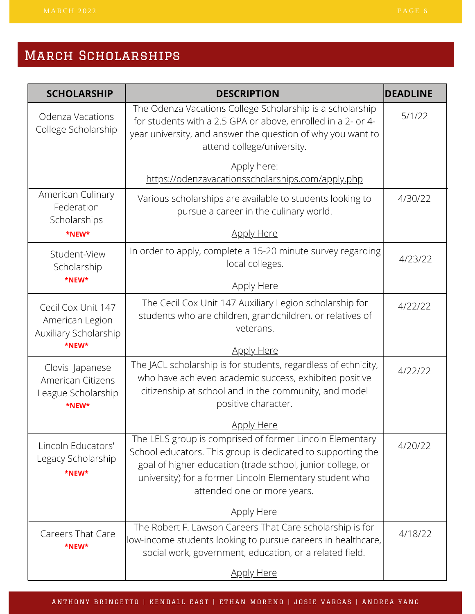| <b>SCHOLARSHIP</b>                                                  | <b>DESCRIPTION</b>                                                                                                                                                                                                                                                              | <b>DEADLINE</b> |
|---------------------------------------------------------------------|---------------------------------------------------------------------------------------------------------------------------------------------------------------------------------------------------------------------------------------------------------------------------------|-----------------|
| Odenza Vacations<br>College Scholarship                             | The Odenza Vacations College Scholarship is a scholarship<br>for students with a 2.5 GPA or above, enrolled in a 2- or 4-<br>year university, and answer the question of why you want to<br>attend college/university.                                                          | 5/1/22          |
|                                                                     | Apply here:<br>https://odenzavacationsscholarships.com/apply.php                                                                                                                                                                                                                |                 |
| American Culinary<br>Federation<br>Scholarships                     | Various scholarships are available to students looking to<br>pursue a career in the culinary world.                                                                                                                                                                             | 4/30/22         |
| *NEW*                                                               | <u>Apply Here</u>                                                                                                                                                                                                                                                               |                 |
| Student-View<br>Scholarship                                         | In order to apply, complete a 15-20 minute survey regarding<br>local colleges.                                                                                                                                                                                                  | 4/23/22         |
| *NEW*                                                               | <b>Apply Here</b>                                                                                                                                                                                                                                                               |                 |
| Cecil Cox Unit 147<br>American Legion<br>Auxiliary Scholarship      | The Cecil Cox Unit 147 Auxiliary Legion scholarship for<br>students who are children, grandchildren, or relatives of<br>veterans.                                                                                                                                               | 4/22/22         |
| *NEW*                                                               | <b>Apply Here</b>                                                                                                                                                                                                                                                               |                 |
| Clovis Japanese<br>American Citizens<br>League Scholarship<br>*NFW* | The JACL scholarship is for students, regardless of ethnicity,<br>who have achieved academic success, exhibited positive<br>citizenship at school and in the community, and model<br>positive character.                                                                        | 4/22/22         |
|                                                                     | <b>Apply Here</b>                                                                                                                                                                                                                                                               |                 |
| Lincoln Educators'<br>Legacy Scholarship<br>*NEW*                   | The LELS group is comprised of former Lincoln Elementary<br>School educators. This group is dedicated to supporting the<br>goal of higher education (trade school, junior college, or<br>university) for a former Lincoln Elementary student who<br>attended one or more years. | 4/20/22         |
|                                                                     | <b>Apply Here</b>                                                                                                                                                                                                                                                               |                 |
| Careers That Care<br>*NEW*                                          | The Robert F. Lawson Careers That Care scholarship is for<br>low-income students looking to pursue careers in healthcare,<br>social work, government, education, or a related field.                                                                                            | 4/18/22         |
|                                                                     | <b>Apply Here</b>                                                                                                                                                                                                                                                               |                 |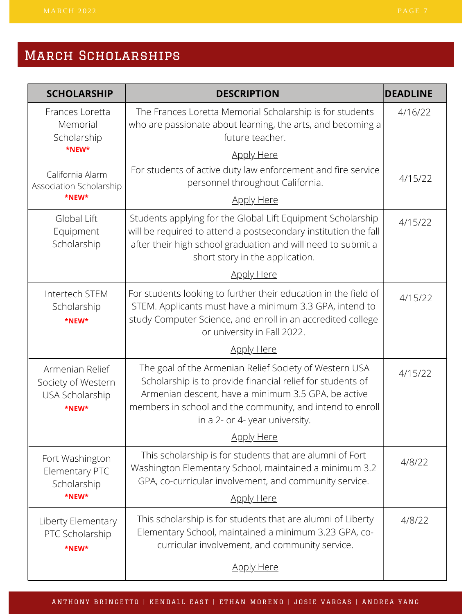| <b>SCHOLARSHIP</b>                                                | <b>DESCRIPTION</b>                                                                                                                                                                                                                                                         | <b>DEADLINE</b> |
|-------------------------------------------------------------------|----------------------------------------------------------------------------------------------------------------------------------------------------------------------------------------------------------------------------------------------------------------------------|-----------------|
| Frances Loretta<br>Memorial<br>Scholarship                        | The Frances Loretta Memorial Scholarship is for students<br>who are passionate about learning, the arts, and becoming a<br>future teacher.                                                                                                                                 | 4/16/22         |
| *NEW*                                                             | <u>Apply Here</u>                                                                                                                                                                                                                                                          |                 |
| California Alarm<br>Association Scholarship                       | For students of active duty law enforcement and fire service<br>personnel throughout California.                                                                                                                                                                           | 4/15/22         |
| *NEW*                                                             | <b>Apply Here</b>                                                                                                                                                                                                                                                          |                 |
| Global Lift<br>Equipment<br>Scholarship                           | Students applying for the Global Lift Equipment Scholarship<br>will be required to attend a postsecondary institution the fall<br>after their high school graduation and will need to submit a<br>short story in the application.                                          | 4/15/22         |
|                                                                   | <u>Apply Here</u>                                                                                                                                                                                                                                                          |                 |
| Intertech STEM<br>Scholarship<br>*NEW*                            | For students looking to further their education in the field of<br>STEM. Applicants must have a minimum 3.3 GPA, intend to<br>study Computer Science, and enroll in an accredited college<br>or university in Fall 2022.                                                   | 4/15/22         |
|                                                                   | <b>Apply Here</b>                                                                                                                                                                                                                                                          |                 |
| Armenian Relief<br>Society of Western<br>USA Scholarship<br>*NEW* | The goal of the Armenian Relief Society of Western USA<br>Scholarship is to provide financial relief for students of<br>Armenian descent, have a minimum 3.5 GPA, be active<br>members in school and the community, and intend to enroll<br>in a 2- or 4- year university. | 4/15/22         |
|                                                                   | <b>Apply Here</b>                                                                                                                                                                                                                                                          |                 |
| Fort Washington<br>Elementary PTC<br>Scholarship                  | This scholarship is for students that are alumni of Fort<br>Washington Elementary School, maintained a minimum 3.2<br>GPA, co-curricular involvement, and community service.                                                                                               | 4/8/22          |
| *NEW*                                                             | <u>Apply Here</u>                                                                                                                                                                                                                                                          |                 |
| Liberty Elementary<br>PTC Scholarship<br>*NEW*                    | This scholarship is for students that are alumni of Liberty<br>Elementary School, maintained a minimum 3.23 GPA, co-<br>curricular involvement, and community service.                                                                                                     | 4/8/22          |
|                                                                   | <b>Apply Here</b>                                                                                                                                                                                                                                                          |                 |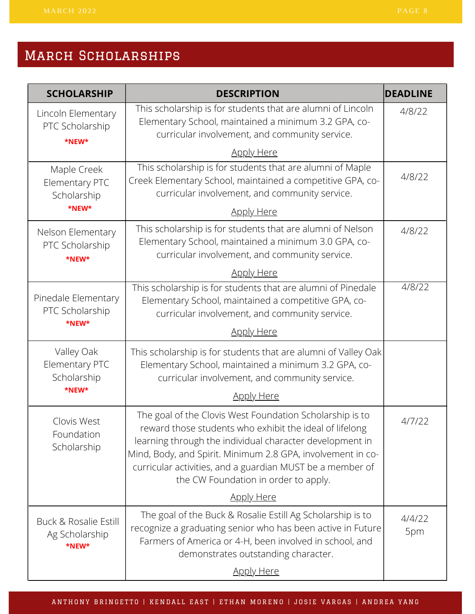| <b>SCHOLARSHIP</b>                               | <b>DESCRIPTION</b>                                                                                                                                                                                                                                                                                                                                  | <b>DEADLINE</b> |
|--------------------------------------------------|-----------------------------------------------------------------------------------------------------------------------------------------------------------------------------------------------------------------------------------------------------------------------------------------------------------------------------------------------------|-----------------|
| Lincoln Elementary<br>PTC Scholarship<br>*NEW*   | This scholarship is for students that are alumni of Lincoln<br>Elementary School, maintained a minimum 3.2 GPA, co-<br>curricular involvement, and community service.                                                                                                                                                                               | 4/8/22          |
|                                                  | <b>Apply Here</b>                                                                                                                                                                                                                                                                                                                                   |                 |
| Maple Creek<br>Elementary PTC<br>Scholarship     | This scholarship is for students that are alumni of Maple<br>Creek Elementary School, maintained a competitive GPA, co-<br>curricular involvement, and community service.                                                                                                                                                                           | 4/8/22          |
| *NEW*                                            | <b>Apply Here</b>                                                                                                                                                                                                                                                                                                                                   |                 |
| Nelson Elementary<br>PTC Scholarship<br>*NEW*    | This scholarship is for students that are alumni of Nelson<br>Elementary School, maintained a minimum 3.0 GPA, co-<br>curricular involvement, and community service.                                                                                                                                                                                | 4/8/22          |
|                                                  | <b>Apply Here</b>                                                                                                                                                                                                                                                                                                                                   |                 |
| Pinedale Elementary<br>PTC Scholarship<br>*NEW*  | This scholarship is for students that are alumni of Pinedale<br>Elementary School, maintained a competitive GPA, co-<br>curricular involvement, and community service.                                                                                                                                                                              | 4/8/22          |
|                                                  | <b>Apply Here</b>                                                                                                                                                                                                                                                                                                                                   |                 |
| Valley Oak<br>Elementary PTC<br>Scholarship      | This scholarship is for students that are alumni of Valley Oak<br>Elementary School, maintained a minimum 3.2 GPA, co-<br>curricular involvement, and community service.                                                                                                                                                                            |                 |
| *NEW*                                            | <b>Apply Here</b>                                                                                                                                                                                                                                                                                                                                   |                 |
| Clovis West<br>Foundation<br>Scholarship         | The goal of the Clovis West Foundation Scholarship is to<br>reward those students who exhibit the ideal of lifelong<br>learning through the individual character development in<br>Mind, Body, and Spirit. Minimum 2.8 GPA, involvement in co-<br>curricular activities, and a guardian MUST be a member of<br>the CW Foundation in order to apply. | 4/7/22          |
|                                                  | <u>Apply Here</u>                                                                                                                                                                                                                                                                                                                                   |                 |
| Buck & Rosalie Estill<br>Ag Scholarship<br>*NEW* | The goal of the Buck & Rosalie Estill Ag Scholarship is to<br>recognize a graduating senior who has been active in Future<br>Farmers of America or 4-H, been involved in school, and<br>demonstrates outstanding character.                                                                                                                         | 4/4/22<br>5pm   |
|                                                  | <b>Apply Here</b>                                                                                                                                                                                                                                                                                                                                   |                 |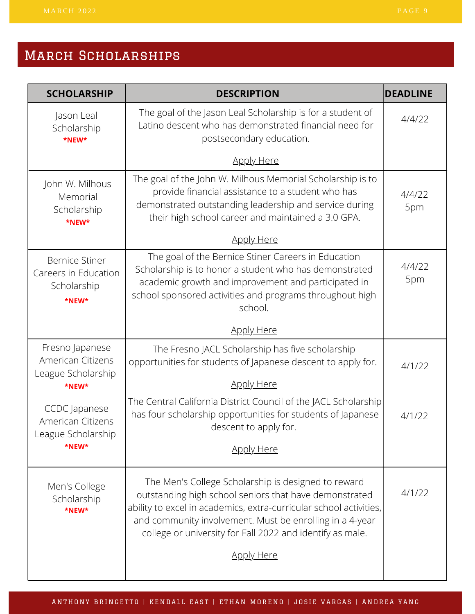| <b>SCHOLARSHIP</b>                                                       | <b>DESCRIPTION</b>                                                                                                                                                                                                                                                                                           | <b>DEADLINE</b> |
|--------------------------------------------------------------------------|--------------------------------------------------------------------------------------------------------------------------------------------------------------------------------------------------------------------------------------------------------------------------------------------------------------|-----------------|
| Jason Leal<br>Scholarship<br>*NEW*                                       | The goal of the Jason Leal Scholarship is for a student of<br>Latino descent who has demonstrated financial need for<br>postsecondary education.                                                                                                                                                             | 4/4/22          |
|                                                                          | <b>Apply Here</b>                                                                                                                                                                                                                                                                                            |                 |
| John W. Milhous<br>Memorial<br>Scholarship<br>*NEW*                      | The goal of the John W. Milhous Memorial Scholarship is to<br>provide financial assistance to a student who has<br>demonstrated outstanding leadership and service during<br>their high school career and maintained a 3.0 GPA.                                                                              | 4/4/22<br>5pm   |
|                                                                          | <b>Apply Here</b>                                                                                                                                                                                                                                                                                            |                 |
| <b>Bernice Stiner</b><br>Careers in Education<br>Scholarship<br>*NEW*    | The goal of the Bernice Stiner Careers in Education<br>Scholarship is to honor a student who has demonstrated<br>academic growth and improvement and participated in<br>school sponsored activities and programs throughout high<br>school.                                                                  | 4/4/22<br>5pm   |
|                                                                          | <b>Apply Here</b>                                                                                                                                                                                                                                                                                            |                 |
| Fresno Japanese<br>American Citizens<br>League Scholarship               | The Fresno JACL Scholarship has five scholarship<br>opportunities for students of Japanese descent to apply for.                                                                                                                                                                                             | 4/1/22          |
| *NEW*                                                                    | <b>Apply Here</b>                                                                                                                                                                                                                                                                                            |                 |
| <b>CCDC</b> Japanese<br>American Citizens<br>League Scholarship<br>*NEW* | The Central California District Council of the JACL Scholarship<br>has four scholarship opportunities for students of Japanese<br>descent to apply for.                                                                                                                                                      | 4/1/22          |
|                                                                          | <b>Apply Here</b>                                                                                                                                                                                                                                                                                            |                 |
| Men's College<br>Scholarship<br>*NEW*                                    | The Men's College Scholarship is designed to reward<br>outstanding high school seniors that have demonstrated<br>ability to excel in academics, extra-curricular school activities,<br>and community involvement. Must be enrolling in a 4-year<br>college or university for Fall 2022 and identify as male. | 4/1/22          |
|                                                                          | <b>Apply Here</b>                                                                                                                                                                                                                                                                                            |                 |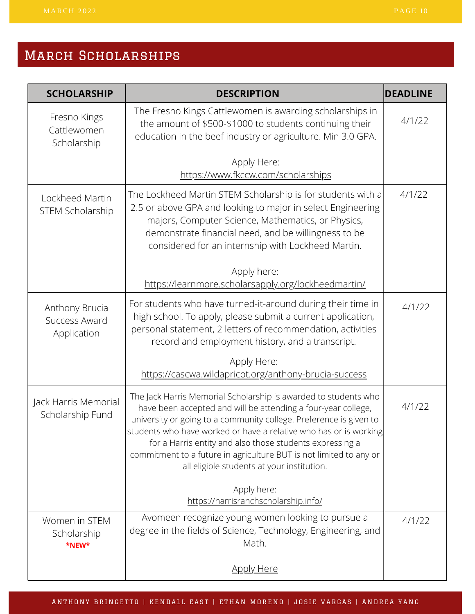| <b>SCHOLARSHIP</b>                             | <b>DESCRIPTION</b>                                                                                                                                                                                                                                                                                                                                                                                                                                          | <b>DEADLINE</b> |
|------------------------------------------------|-------------------------------------------------------------------------------------------------------------------------------------------------------------------------------------------------------------------------------------------------------------------------------------------------------------------------------------------------------------------------------------------------------------------------------------------------------------|-----------------|
| Fresno Kings<br>Cattlewomen<br>Scholarship     | The Fresno Kings Cattlewomen is awarding scholarships in<br>the amount of \$500-\$1000 to students continuing their<br>education in the beef industry or agriculture. Min 3.0 GPA.                                                                                                                                                                                                                                                                          | 4/1/22          |
|                                                | Apply Here:<br>https://www.fkccw.com/scholarships                                                                                                                                                                                                                                                                                                                                                                                                           |                 |
| Lockheed Martin<br>STEM Scholarship            | The Lockheed Martin STEM Scholarship is for students with a<br>2.5 or above GPA and looking to major in select Engineering<br>majors, Computer Science, Mathematics, or Physics,<br>demonstrate financial need, and be willingness to be<br>considered for an internship with Lockheed Martin.                                                                                                                                                              | 4/1/22          |
|                                                | Apply here:<br>https://learnmore.scholarsapply.org/lockheedmartin/                                                                                                                                                                                                                                                                                                                                                                                          |                 |
| Anthony Brucia<br>Success Award<br>Application | For students who have turned-it-around during their time in<br>high school. To apply, please submit a current application,<br>personal statement, 2 letters of recommendation, activities<br>record and employment history, and a transcript.                                                                                                                                                                                                               | 4/1/22          |
|                                                | Apply Here:<br>https://cascwa.wildapricot.org/anthony-brucia-success                                                                                                                                                                                                                                                                                                                                                                                        |                 |
| Jack Harris Memorial<br>Scholarship Fund       | The Jack Harris Memorial Scholarship is awarded to students who<br>have been accepted and will be attending a four-year college,<br>university or going to a community college. Preference is given to<br>students who have worked or have a relative who has or is working<br>for a Harris entity and also those students expressing a<br>commitment to a future in agriculture BUT is not limited to any or<br>all eligible students at your institution. | 4/1/22          |
|                                                | Apply here:<br>https://harrisranchscholarship.info/                                                                                                                                                                                                                                                                                                                                                                                                         |                 |
| Women in STEM<br>Scholarship<br>*NEW*          | Avomeen recognize young women looking to pursue a<br>degree in the fields of Science, Technology, Engineering, and<br>Math.                                                                                                                                                                                                                                                                                                                                 | 4/1/22          |
|                                                | <u>Apply Here</u>                                                                                                                                                                                                                                                                                                                                                                                                                                           |                 |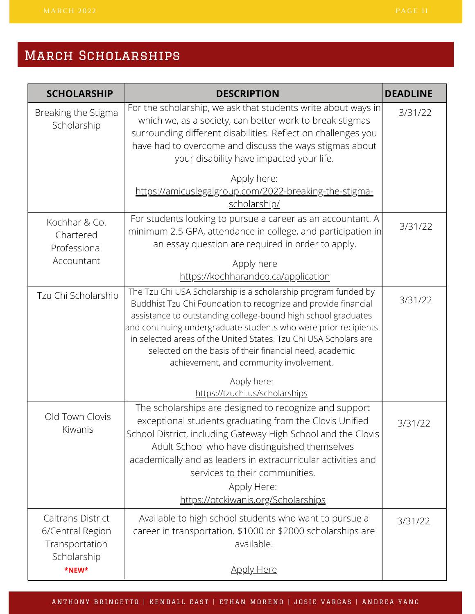| <b>SCHOLARSHIP</b>                                             | <b>DESCRIPTION</b>                                                                                                                                                                                                                                                                                                                                                                                                                             | <b>DEADLINE</b> |
|----------------------------------------------------------------|------------------------------------------------------------------------------------------------------------------------------------------------------------------------------------------------------------------------------------------------------------------------------------------------------------------------------------------------------------------------------------------------------------------------------------------------|-----------------|
| Breaking the Stigma<br>Scholarship                             | For the scholarship, we ask that students write about ways in<br>which we, as a society, can better work to break stigmas<br>surrounding different disabilities. Reflect on challenges you<br>have had to overcome and discuss the ways stigmas about<br>your disability have impacted your life.                                                                                                                                              | 3/31/22         |
|                                                                | Apply here:<br>https://amicuslegalgroup.com/2022-breaking-the-stigma-<br>scholarship/                                                                                                                                                                                                                                                                                                                                                          |                 |
| Kochhar & Co.<br>Chartered<br>Professional                     | For students looking to pursue a career as an accountant. A<br>minimum 2.5 GPA, attendance in college, and participation in<br>an essay question are required in order to apply.                                                                                                                                                                                                                                                               | 3/31/22         |
| Accountant                                                     | Apply here<br>https://kochharandco.ca/application                                                                                                                                                                                                                                                                                                                                                                                              |                 |
| Tzu Chi Scholarship                                            | The Tzu Chi USA Scholarship is a scholarship program funded by<br>Buddhist Tzu Chi Foundation to recognize and provide financial<br>assistance to outstanding college-bound high school graduates<br>and continuing undergraduate students who were prior recipients<br>in selected areas of the United States. Tzu Chi USA Scholars are<br>selected on the basis of their financial need, academic<br>achievement, and community involvement. | 3/31/22         |
|                                                                | Apply here:<br>https://tzuchi.us/scholarships                                                                                                                                                                                                                                                                                                                                                                                                  |                 |
| Old Town Clovis<br>Kiwanis                                     | The scholarships are designed to recognize and support<br>exceptional students graduating from the Clovis Unified<br>School District, including Gateway High School and the Clovis<br>Adult School who have distinguished themselves<br>academically and as leaders in extracurricular activities and<br>services to their communities.<br>Apply Here:<br>https://otckiwanis.org/Scholarships                                                  | 3/31/22         |
| <b>Caltrans District</b><br>6/Central Region<br>Transportation | Available to high school students who want to pursue a<br>career in transportation. \$1000 or \$2000 scholarships are<br>available.                                                                                                                                                                                                                                                                                                            | 3/31/22         |
| Scholarship<br>*NEW*                                           | <u>Apply Here</u>                                                                                                                                                                                                                                                                                                                                                                                                                              |                 |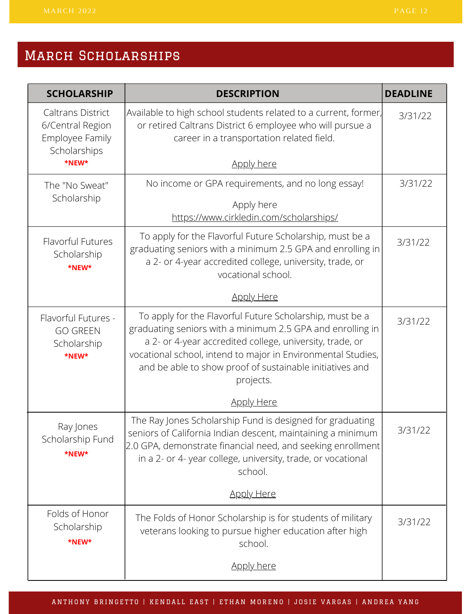| <b>SCHOLARSHIP</b>                                                              | <b>DESCRIPTION</b>                                                                                                                                                                                                                                                                                                          | <b>DEADLINE</b> |
|---------------------------------------------------------------------------------|-----------------------------------------------------------------------------------------------------------------------------------------------------------------------------------------------------------------------------------------------------------------------------------------------------------------------------|-----------------|
| <b>Caltrans District</b><br>6/Central Region<br>Employee Family<br>Scholarships | Available to high school students related to a current, former,<br>or retired Caltrans District 6 employee who will pursue a<br>career in a transportation related field.                                                                                                                                                   | 3/31/22         |
| *NEW*                                                                           | <b>Apply here</b>                                                                                                                                                                                                                                                                                                           |                 |
| The "No Sweat"                                                                  | No income or GPA requirements, and no long essay!                                                                                                                                                                                                                                                                           | 3/31/22         |
| Scholarship                                                                     | Apply here<br>https://www.cirkledin.com/scholarships/                                                                                                                                                                                                                                                                       |                 |
| Flavorful Futures<br>Scholarship<br>*NEW*                                       | To apply for the Flavorful Future Scholarship, must be a<br>graduating seniors with a minimum 2.5 GPA and enrolling in<br>a 2- or 4-year accredited college, university, trade, or<br>vocational school.                                                                                                                    | 3/31/22         |
|                                                                                 | <b>Apply Here</b>                                                                                                                                                                                                                                                                                                           |                 |
| Flavorful Futures -<br><b>GO GREEN</b><br>Scholarship<br>*NEW*                  | To apply for the Flavorful Future Scholarship, must be a<br>graduating seniors with a minimum 2.5 GPA and enrolling in<br>a 2- or 4-year accredited college, university, trade, or<br>vocational school, intend to major in Environmental Studies,<br>and be able to show proof of sustainable initiatives and<br>projects. | 3/31/22         |
|                                                                                 | <b>Apply Here</b>                                                                                                                                                                                                                                                                                                           |                 |
| Ray Jones<br>Scholarship Fund<br>*NEW*                                          | The Ray Jones Scholarship Fund is designed for graduating<br>seniors of California Indian descent, maintaining a minimum<br>2.0 GPA, demonstrate financial need, and seeking enrollment<br>in a 2- or 4- year college, university, trade, or vocational<br>school.                                                          | 3/31/22         |
|                                                                                 | <b>Apply Here</b>                                                                                                                                                                                                                                                                                                           |                 |
| Folds of Honor<br>Scholarship<br>*NEW*                                          | The Folds of Honor Scholarship is for students of military<br>veterans looking to pursue higher education after high<br>school.                                                                                                                                                                                             | 3/31/22         |
|                                                                                 | <u>Apply here</u>                                                                                                                                                                                                                                                                                                           |                 |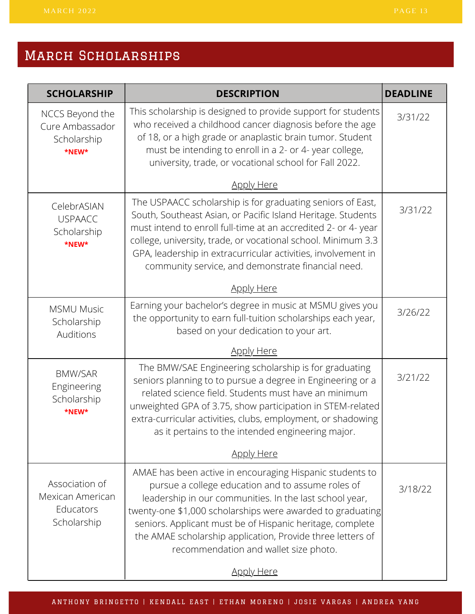## MARCH SCHOLARSHIPS

| <b>SCHOLARSHIP</b>                                             | <b>DESCRIPTION</b>                                                                                                                                                                                                                                                                                                                                                                                         | <b>DEADLINE</b> |
|----------------------------------------------------------------|------------------------------------------------------------------------------------------------------------------------------------------------------------------------------------------------------------------------------------------------------------------------------------------------------------------------------------------------------------------------------------------------------------|-----------------|
| NCCS Beyond the<br>Cure Ambassador<br>Scholarship<br>*NEW*     | This scholarship is designed to provide support for students<br>who received a childhood cancer diagnosis before the age<br>of 18, or a high grade or anaplastic brain tumor. Student<br>must be intending to enroll in a 2- or 4- year college,<br>university, trade, or vocational school for Fall 2022.                                                                                                 | 3/31/22         |
|                                                                | <b>Apply Here</b>                                                                                                                                                                                                                                                                                                                                                                                          |                 |
| CelebrASIAN<br><b>USPAACC</b><br>Scholarship<br>*NEW*          | The USPAACC scholarship is for graduating seniors of East,<br>South, Southeast Asian, or Pacific Island Heritage. Students<br>must intend to enroll full-time at an accredited 2- or 4- year<br>college, university, trade, or vocational school. Minimum 3.3<br>GPA, leadership in extracurricular activities, involvement in<br>community service, and demonstrate financial need.                       | 3/31/22         |
|                                                                | <b>Apply Here</b>                                                                                                                                                                                                                                                                                                                                                                                          |                 |
| <b>MSMU Music</b><br>Scholarship<br>Auditions                  | Earning your bachelor's degree in music at MSMU gives you<br>the opportunity to earn full-tuition scholarships each year,<br>based on your dedication to your art.                                                                                                                                                                                                                                         | 3/26/22         |
|                                                                | <b>Apply Here</b>                                                                                                                                                                                                                                                                                                                                                                                          |                 |
| <b>BMW/SAR</b><br>Engineering<br>Scholarship<br>*NEW*          | The BMW/SAE Engineering scholarship is for graduating<br>seniors planning to to pursue a degree in Engineering or a<br>related science field. Students must have an minimum<br>unweighted GPA of 3.75, show participation in STEM-related<br>extra-curricular activities, clubs, employment, or shadowing<br>as it pertains to the intended engineering major.                                             | 3/21/22         |
|                                                                | <b>Apply Here</b>                                                                                                                                                                                                                                                                                                                                                                                          |                 |
| Association of<br>Mexican American<br>Educators<br>Scholarship | AMAE has been active in encouraging Hispanic students to<br>pursue a college education and to assume roles of<br>leadership in our communities. In the last school year,<br>twenty-one \$1,000 scholarships were awarded to graduating<br>seniors. Applicant must be of Hispanic heritage, complete<br>the AMAE scholarship application, Provide three letters of<br>recommendation and wallet size photo. | 3/18/22         |
|                                                                | <b>Apply Here</b>                                                                                                                                                                                                                                                                                                                                                                                          |                 |